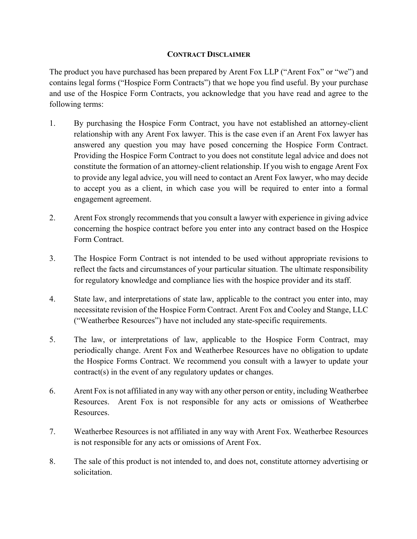### **CONTRACT DISCLAIMER**

The product you have purchased has been prepared by Arent Fox LLP ("Arent Fox" or "we") and contains legal forms ("Hospice Form Contracts") that we hope you find useful. By your purchase and use of the Hospice Form Contracts, you acknowledge that you have read and agree to the following terms:

- 1. By purchasing the Hospice Form Contract, you have not established an attorney-client relationship with any Arent Fox lawyer. This is the case even if an Arent Fox lawyer has answered any question you may have posed concerning the Hospice Form Contract. Providing the Hospice Form Contract to you does not constitute legal advice and does not constitute the formation of an attorney-client relationship. If you wish to engage Arent Fox to provide any legal advice, you will need to contact an Arent Fox lawyer, who may decide to accept you as a client, in which case you will be required to enter into a formal engagement agreement.
- 2. Arent Fox strongly recommends that you consult a lawyer with experience in giving advice concerning the hospice contract before you enter into any contract based on the Hospice Form Contract.
- 3. The Hospice Form Contract is not intended to be used without appropriate revisions to reflect the facts and circumstances of your particular situation. The ultimate responsibility for regulatory knowledge and compliance lies with the hospice provider and its staff.
- 4. State law, and interpretations of state law, applicable to the contract you enter into, may necessitate revision of the Hospice Form Contract. Arent Fox and Cooley and Stange, LLC ("Weatherbee Resources") have not included any state-specific requirements.
- 5. The law, or interpretations of law, applicable to the Hospice Form Contract, may periodically change. Arent Fox and Weatherbee Resources have no obligation to update the Hospice Forms Contract. We recommend you consult with a lawyer to update your contract(s) in the event of any regulatory updates or changes.
- 6. Arent Fox is not affiliated in any way with any other person or entity, including Weatherbee Resources. Arent Fox is not responsible for any acts or omissions of Weatherbee Resources.
- 7. Weatherbee Resources is not affiliated in any way with Arent Fox. Weatherbee Resources is not responsible for any acts or omissions of Arent Fox.
- 8. The sale of this product is not intended to, and does not, constitute attorney advertising or solicitation.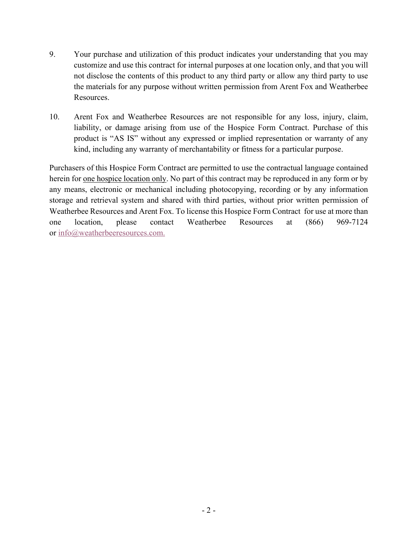- 9. Your purchase and utilization of this product indicates your understanding that you may customize and use this contract for internal purposes at one location only, and that you will not disclose the contents of this product to any third party or allow any third party to use the materials for any purpose without written permission from Arent Fox and Weatherbee Resources.
- 10. Arent Fox and Weatherbee Resources are not responsible for any loss, injury, claim, liability, or damage arising from use of the Hospice Form Contract. Purchase of this product is "AS IS" without any expressed or implied representation or warranty of any kind, including any warranty of merchantability or fitness for a particular purpose.

Purchasers of this Hospice Form Contract are permitted to use the contractual language contained herein for one hospice location only. No part of this contract may be reproduced in any form or by any means, electronic or mechanical including photocopying, recording or by any information storage and retrieval system and shared with third parties, without prior written permission of Weatherbee Resources and Arent Fox. To license this Hospice Form Contract for use at more than one location, please contact Weatherbee Resources at (866) 969-7124 or info@weatherbeeresources.com.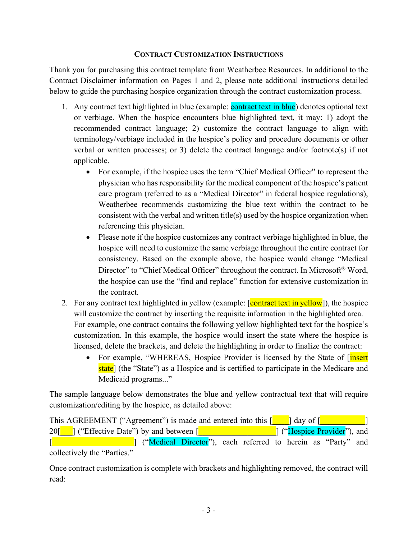### **CONTRACT CUSTOMIZATION INSTRUCTIONS**

Thank you for purchasing this contract template from Weatherbee Resources. In additional to the Contract Disclaimer information on Pages 1 and 2, please note additional instructions detailed below to guide the purchasing hospice organization through the contract customization process.

- 1. Any contract text highlighted in blue (example: contract text in blue) denotes optional text or verbiage. When the hospice encounters blue highlighted text, it may: 1) adopt the recommended contract language; 2) customize the contract language to align with terminology/verbiage included in the hospice's policy and procedure documents or other verbal or written processes; or 3) delete the contract language and/or footnote(s) if not applicable.
	- For example, if the hospice uses the term "Chief Medical Officer" to represent the physician who has responsibility for the medical component of the hospice's patient care program (referred to as a "Medical Director" in federal hospice regulations), Weatherbee recommends customizing the blue text within the contract to be consistent with the verbal and written title(s) used by the hospice organization when referencing this physician.
	- Please note if the hospice customizes any contract verbiage highlighted in blue, the hospice will need to customize the same verbiage throughout the entire contract for consistency. Based on the example above, the hospice would change "Medical Director" to "Chief Medical Officer" throughout the contract. In Microsoft<sup>®</sup> Word, the hospice can use the "find and replace" function for extensive customization in the contract.
- 2. For any contract text highlighted in yellow (example: [contract text in yellow]), the hospice will customize the contract by inserting the requisite information in the highlighted area. For example, one contract contains the following yellow highlighted text for the hospice's customization. In this example, the hospice would insert the state where the hospice is licensed, delete the brackets, and delete the highlighting in order to finalize the contract:
	- For example, "WHEREAS, Hospice Provider is licensed by the State of [insert] state<sup>]</sup> (the "State") as a Hospice and is certified to participate in the Medicare and Medicaid programs..."

The sample language below demonstrates the blue and yellow contractual text that will require customization/editing by the hospice, as detailed above:

This AGREEMENT ("Agreement") is made and entered into this  $\lceil \cdot \cdot \cdot \rceil$  day of  $\lceil \cdot \cdot \rceil$ 20<sup>[11]</sup> ("Effective Date") by and between [11] **Example 2014** [11] ("Hospice Provider"), and [**Medical Director**"), each referred to herein as "Party" and interval and interval as "Party" and collectively the "Parties."

Once contract customization is complete with brackets and highlighting removed, the contract will read: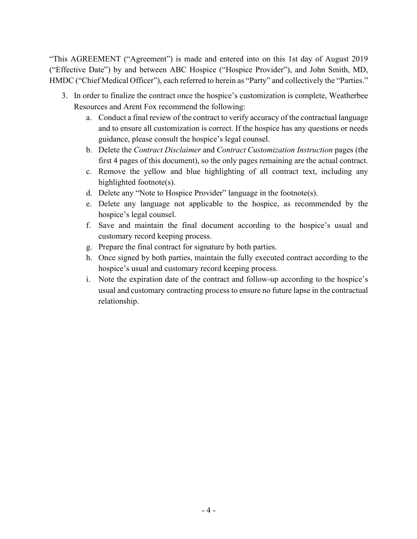"This AGREEMENT ("Agreement") is made and entered into on this 1st day of August 2019 ("Effective Date") by and between ABC Hospice ("Hospice Provider"), and John Smith, MD, HMDC ("Chief Medical Officer"), each referred to herein as "Party" and collectively the "Parties."

- 3. In order to finalize the contract once the hospice's customization is complete, Weatherbee Resources and Arent Fox recommend the following:
	- a. Conduct a final review of the contract to verify accuracy of the contractual language and to ensure all customization is correct. If the hospice has any questions or needs guidance, please consult the hospice's legal counsel.
	- b. Delete the *Contract Disclaimer* and *Contract Customization Instruction* pages (the first 4 pages of this document), so the only pages remaining are the actual contract.
	- c. Remove the yellow and blue highlighting of all contract text, including any highlighted footnote(s).
	- d. Delete any "Note to Hospice Provider" language in the footnote(s).
	- e. Delete any language not applicable to the hospice, as recommended by the hospice's legal counsel.
	- f. Save and maintain the final document according to the hospice's usual and customary record keeping process.
	- g. Prepare the final contract for signature by both parties.
	- h. Once signed by both parties, maintain the fully executed contract according to the hospice's usual and customary record keeping process.
	- i. Note the expiration date of the contract and follow-up according to the hospice's usual and customary contracting process to ensure no future lapse in the contractual relationship.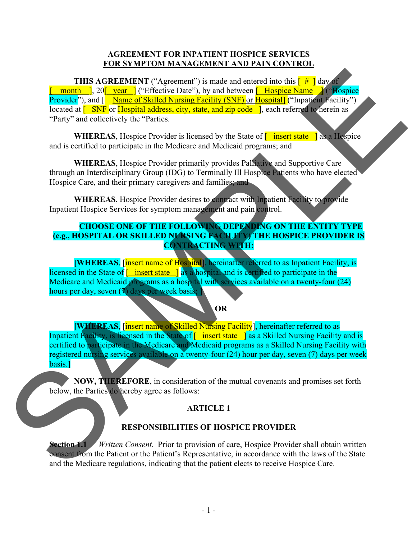## **AGREEMENT FOR INPATIENT HOSPICE SERVICES FOR SYMPTOM MANAGEMENT AND PAIN CONTROL**

**THIS AGREEMENT** ("Agreement") is made and entered into this  $\frac{4}{x}$  day of **E** month **]**, 20<sup>[</sup> year ] ("Effective Date"), by and between [ Hospice Name | ("Hospice Provider"), and  $\left[\right]$  Name of Skilled Nursing Facility (SNF) or Hospitall ("Inpatient Facility") located at  $\overline{I}$  SNF or Hospital address, city, state, and zip code  $\overline{I}$ , each referred to herein as "Party" and collectively the "Parties.

**WHEREAS**, Hospice Provider is licensed by the State of **[** insert state ] as a Hospice and is certified to participate in the Medicare and Medicaid programs; and

**WHEREAS**, Hospice Provider primarily provides Palliative and Supportive Care through an Interdisciplinary Group (IDG) to Terminally Ill Hospice Patients who have elected Hospice Care, and their primary caregivers and families; and

**WHEREAS**, Hospice Provider desires to contract with Inpatient Facility to provide Inpatient Hospice Services for symptom management and pain control.

## **CHOOSE ONE OF THE FOLLOWING DEPENDING ON THE ENTITY TYPE (e.g., HOSPITAL OR SKILLED NURSING FACILITY) THE HOSPICE PROVIDER IS CONTRACTING WITH:**

**[WHEREAS**, [insert name of Hospital], hereinafter referred to as Inpatient Facility, is licensed in the State of  $\boxed{\phantom{a}}$  insert state  $\phantom{a}$  as a hospital and is certified to participate in the Medicare and Medicaid programs as a hospital with services available on a twenty-four (24) hours per day, seven (7) days per week basis;

#### **OR**

**[WHEREAS**, [insert name of Skilled Nursing Facility], hereinafter referred to as Inpatient Facility, is licensed in the State of  $\lceil \cdot \text{insert state} \rceil$  as a Skilled Nursing Facility and is certified to participate in the Medicare and Medicaid programs as a Skilled Nursing Facility with registered nursing services available on a twenty-four (24) hour per day, seven (7) days per week basis.] SAMPLE

**NOW, THEREFORE**, in consideration of the mutual covenants and promises set forth below, the Parties do hereby agree as follows:

# **ARTICLE 1**

# **RESPONSIBILITIES OF HOSPICE PROVIDER**

**Section 1.1** *Written Consent*. Prior to provision of care, Hospice Provider shall obtain written consent from the Patient or the Patient's Representative, in accordance with the laws of the State and the Medicare regulations, indicating that the patient elects to receive Hospice Care.